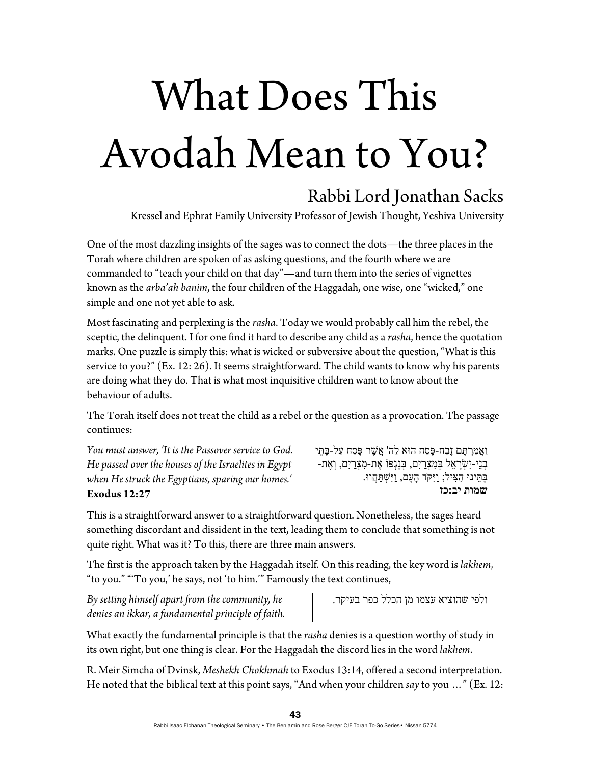## What Does This Avodah Mean to You?

## Rabbi Lord Jonathan Sacks

Kressel and Ephrat Family University Professor of Jewish Thought, Yeshiva University

One of the most dazzling insights of the sages was to connect the dots—the three places in the Torah where children are spoken of as asking questions, and the fourth where we are commanded to "teach your child on that day"—and turn them into the series of vignettes known as the *arba'ah banim*, the four children of the Haggadah, one wise, one "wicked," one simple and one not yet able to ask.

Most fascinating and perplexing is the *rasha*. Today we would probably call him the rebel, the sceptic, the delinquent. I for one find it hard to describe any child as a *rasha*, hence the quotation marks. One puzzle is simply this: what is wicked or subversive about the question, "What is this service to you?" (Ex. 12: 26). It seems straightforward. The child wants to know why his parents are doing what they do. That is what most inquisitive children want to know about the behaviour of adults.

The Torah itself does not treat the child as a rebel or the question as a provocation. The passage continues:

*You must answer, 'It is the Passover service to God. He passed over the houses of the Israelites in Egypt when He struck the Egyptians, sparing our homes.'*  **Exodus 12:27** 

ַוַאֲמַרְתֵּם זֶבַח-פֵּסַח הוּא לַה' אֱשֶׁר פַּסַח עַל-בַּתֵּי ְבנֵי-יִ ְשָׂר ֵאל ְבּ ִמ ְצַריִם, ְבּנָגְפּוֹ ֶאת- ִמ ְצַריִם, ְו ֶאת- ָבּ ֵתּינוּ ִה ִצּיל; ַויִּקֹּד ָה ָעם, ַויִּ ְשׁ ַתֲּחווּ. **שמות יב:כז** 

This is a straightforward answer to a straightforward question. Nonetheless, the sages heard something discordant and dissident in the text, leading them to conclude that something is not quite right. What was it? To this, there are three main answers.

The first is the approach taken by the Haggadah itself. On this reading, the key word is *lakhem*, "to you." "'To you,' he says, not 'to him.'" Famously the text continues,

*By setting himself apart from the community, he denies an ikkar, a fundamental principle of faith.*  ולפי שהוציא עצמו מן הכלל כפר בעיקר.

What exactly the fundamental principle is that the *rasha* denies is a question worthy of study in its own right, but one thing is clear. For the Haggadah the discord lies in the word *lakhem*.

R. Meir Simcha of Dvinsk, *Meshekh Chokhmah* to Exodus 13:14, offered a second interpretation. He noted that the biblical text at this point says, "And when your children *say* to you …" (Ex. 12: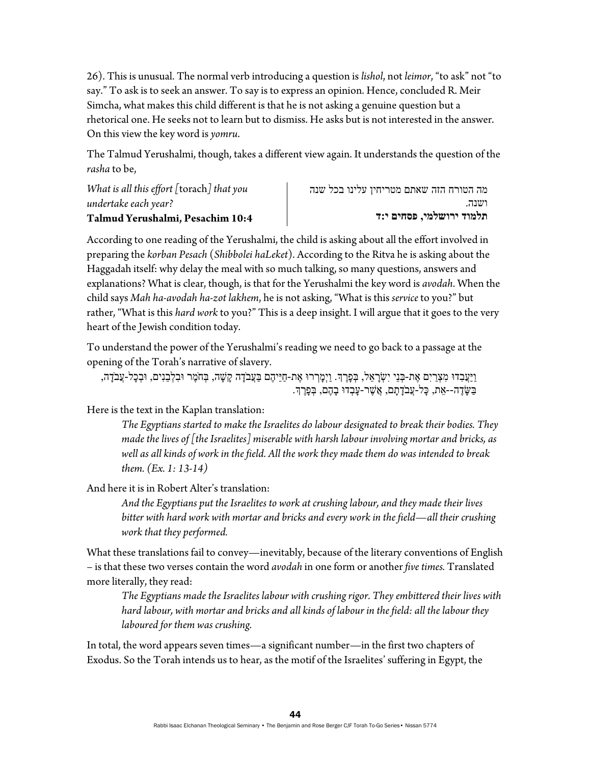26). This is unusual. The normal verb introducing a question is *lishol*, not *leimor*, "to ask" not "to say." To ask is to seek an answer. To say is to express an opinion. Hence, concluded R. Meir Simcha, what makes this child different is that he is not asking a genuine question but a rhetorical one. He seeks not to learn but to dismiss. He asks but is not interested in the answer. On this view the key word is *yomru*.

The Talmud Yerushalmi, though, takes a different view again. It understands the question of the *rasha* to be,

*What is all this effort [*torach*] that you undertake each year?* **Talmud Yerushalmi, Pesachim 10:4** מה הטורח הזה שאתם מטריחין עלינו בכל שנה ושנה. **תלמוד ירושלמי, פסחים י:ד**

According to one reading of the Yerushalmi, the child is asking about all the effort involved in preparing the *korban Pesach* (*Shibbolei haLeket*). According to the Ritva he is asking about the Haggadah itself: why delay the meal with so much talking, so many questions, answers and explanations? What is clear, though, is that for the Yerushalmi the key word is *avodah*. When the child says *Mah ha-avodah ha-zot lakhem*, he is not asking, "What is this *service* to you?" but rather, "What is this *hard work* to you?" This is a deep insight. I will argue that it goes to the very heart of the Jewish condition today.

To understand the power of the Yerushalmi's reading we need to go back to a passage at the opening of the Torah's narrative of slavery.

ַוַּיָּעֲבְדוּ מִצְרַיִם אֶת-בְּנֵי יִשְׂרָאֵל, בְּפָרֶךָ. וַיְמָרְרוּ אֶת-חַיֵּיהֶם בַּעֲבֹדָה קָשָׁה, בְּחֹמֶר וּבִלְבֵנִים, וּבְכָל-עֲבֹדָה, ַבְּשֶׂדָה--אֵת, כַּל-עֲבֹדָתָם, ְאֲשֶׁר-עָבְדוּ בָהֶם, בְּפָרֶךְ.

Here is the text in the Kaplan translation:

*The Egyptians started to make the Israelites do labour designated to break their bodies. They made the lives of [the Israelites] miserable with harsh labour involving mortar and bricks, as well as all kinds of work in the field. All the work they made them do was intended to break them. (Ex. 1: 13-14)* 

And here it is in Robert Alter's translation:

*And the Egyptians put the Israelites to work at crushing labour, and they made their lives bitter with hard work with mortar and bricks and every work in the field—all their crushing work that they performed.* 

What these translations fail to convey—inevitably, because of the literary conventions of English – is that these two verses contain the word *avodah* in one form or another *five times.* Translated more literally, they read:

*The Egyptians made the Israelites labour with crushing rigor. They embittered their lives with hard labour, with mortar and bricks and all kinds of labour in the field: all the labour they laboured for them was crushing.* 

In total, the word appears seven times—a significant number—in the first two chapters of Exodus. So the Torah intends us to hear, as the motif of the Israelites' suffering in Egypt, the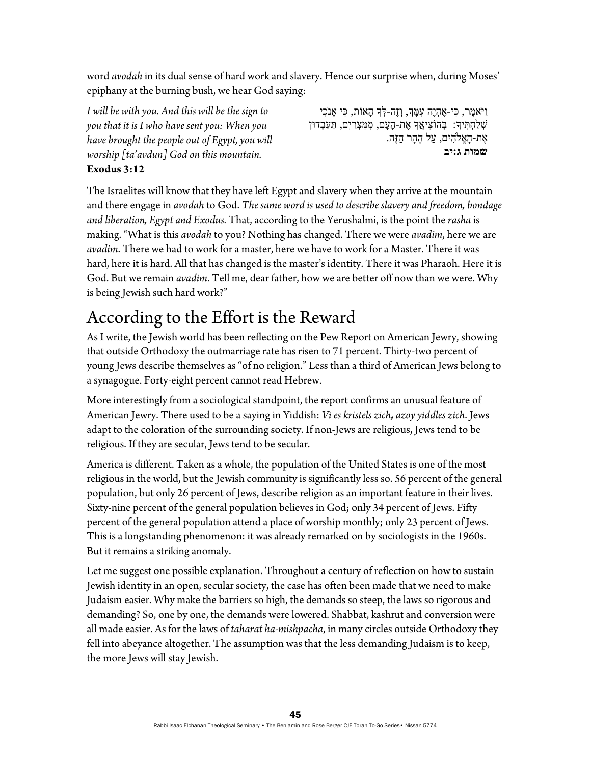word *avodah* in its dual sense of hard work and slavery. Hence our surprise when, during Moses' epiphany at the burning bush, we hear God saying:

*I will be with you. And this will be the sign to you that it is I who have sent you: When you have brought the people out of Egypt, you will worship [ta'avdun] God on this mountain.*  **Exodus 3:12** 

ַוִּיֹּאמֶר, כִּי-אֱהָיֵה עָמַּךְ, וְזֶה-לְּךָ הָאוֹת, כִּי אֲנֹכִי ְשׁ ַל ְח ִתּיָך: ְבּ ִ הוֹצ ֲיאָך ֶאת- ָה ָעם, ִמ ִמּ ְצַריִם, ַתּ ַע ְבדוּן ֶאת- ָהֱא ִֹלהים, ַעל ָה ָהר ַהזֶּה. **שמות ג:יב** 

The Israelites will know that they have left Egypt and slavery when they arrive at the mountain and there engage in *avodah* to God. *The same word is used to describe slavery and freedom, bondage and liberation, Egypt and Exodus.* That, according to the Yerushalmi, is the point the *rasha* is making. "What is this *avodah* to you? Nothing has changed. There we were *avadim*, here we are *avadim*. There we had to work for a master, here we have to work for a Master. There it was hard, here it is hard. All that has changed is the master's identity. There it was Pharaoh. Here it is God. But we remain *avadim*. Tell me, dear father, how we are better off now than we were. Why is being Jewish such hard work?"

## According to the Effort is the Reward

As I write, the Jewish world has been reflecting on the Pew Report on American Jewry, showing that outside Orthodoxy the outmarriage rate has risen to 71 percent. Thirty-two percent of young Jews describe themselves as "of no religion." Less than a third of American Jews belong to a synagogue. Forty-eight percent cannot read Hebrew.

More interestingly from a sociological standpoint, the report confirms an unusual feature of American Jewry. There used to be a saying in Yiddish: *Vi es kristels zich, azoy yiddles zich*. Jews adapt to the coloration of the surrounding society. If non-Jews are religious, Jews tend to be religious. If they are secular, Jews tend to be secular.

America is different. Taken as a whole, the population of the United States is one of the most religious in the world, but the Jewish community is significantly less so. 56 percent of the general population, but only 26 percent of Jews, describe religion as an important feature in their lives. Sixty-nine percent of the general population believes in God; only 34 percent of Jews. Fifty percent of the general population attend a place of worship monthly; only 23 percent of Jews. This is a longstanding phenomenon: it was already remarked on by sociologists in the 1960s. But it remains a striking anomaly.

Let me suggest one possible explanation. Throughout a century of reflection on how to sustain Jewish identity in an open, secular society, the case has often been made that we need to make Judaism easier. Why make the barriers so high, the demands so steep, the laws so rigorous and demanding? So, one by one, the demands were lowered. Shabbat, kashrut and conversion were all made easier. As for the laws of *taharat ha-mishpacha*, in many circles outside Orthodoxy they fell into abeyance altogether. The assumption was that the less demanding Judaism is to keep, the more Jews will stay Jewish.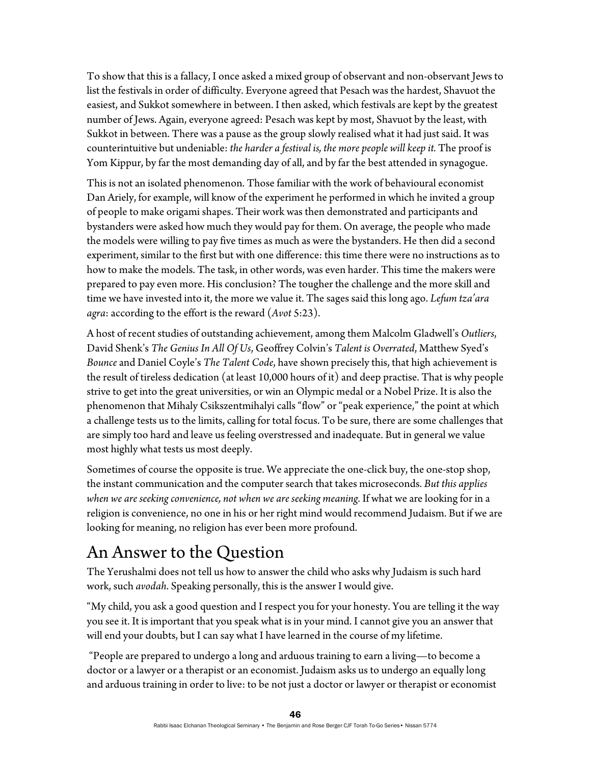To show that this is a fallacy, I once asked a mixed group of observant and non-observant Jews to list the festivals in order of difficulty. Everyone agreed that Pesach was the hardest, Shavuot the easiest, and Sukkot somewhere in between. I then asked, which festivals are kept by the greatest number of Jews. Again, everyone agreed: Pesach was kept by most, Shavuot by the least, with Sukkot in between. There was a pause as the group slowly realised what it had just said. It was counterintuitive but undeniable: *the harder a festival is, the more people will keep it.* The proof is Yom Kippur, by far the most demanding day of all, and by far the best attended in synagogue.

This is not an isolated phenomenon. Those familiar with the work of behavioural economist Dan Ariely, for example, will know of the experiment he performed in which he invited a group of people to make origami shapes. Their work was then demonstrated and participants and bystanders were asked how much they would pay for them. On average, the people who made the models were willing to pay five times as much as were the bystanders. He then did a second experiment, similar to the first but with one difference: this time there were no instructions as to how to make the models. The task, in other words, was even harder. This time the makers were prepared to pay even more. His conclusion? The tougher the challenge and the more skill and time we have invested into it, the more we value it. The sages said this long ago. *Lefum tza'ara agra*: according to the effort is the reward (*Avot* 5:23).

A host of recent studies of outstanding achievement, among them Malcolm Gladwell's *Outliers*, David Shenk's *The Genius In All Of Us*, Geoffrey Colvin's *Talent is Overrated*, Matthew Syed's *Bounce* and Daniel Coyle's *The Talent Code*, have shown precisely this, that high achievement is the result of tireless dedication (at least 10,000 hours of it) and deep practise. That is why people strive to get into the great universities, or win an Olympic medal or a Nobel Prize. It is also the phenomenon that Mihaly Csikszentmihalyi calls "flow" or "peak experience," the point at which a challenge tests us to the limits, calling for total focus. To be sure, there are some challenges that are simply too hard and leave us feeling overstressed and inadequate. But in general we value most highly what tests us most deeply.

Sometimes of course the opposite is true. We appreciate the one-click buy, the one-stop shop, the instant communication and the computer search that takes microseconds. *But this applies when we are seeking convenience, not when we are seeking meaning.* If what we are looking for in a religion is convenience, no one in his or her right mind would recommend Judaism. But if we are looking for meaning, no religion has ever been more profound.

## An Answer to the Question

The Yerushalmi does not tell us how to answer the child who asks why Judaism is such hard work, such *avodah*. Speaking personally, this is the answer I would give.

"My child, you ask a good question and I respect you for your honesty. You are telling it the way you see it. It is important that you speak what is in your mind. I cannot give you an answer that will end your doubts, but I can say what I have learned in the course of my lifetime.

 "People are prepared to undergo a long and arduous training to earn a living—to become a doctor or a lawyer or a therapist or an economist. Judaism asks us to undergo an equally long and arduous training in order to live: to be not just a doctor or lawyer or therapist or economist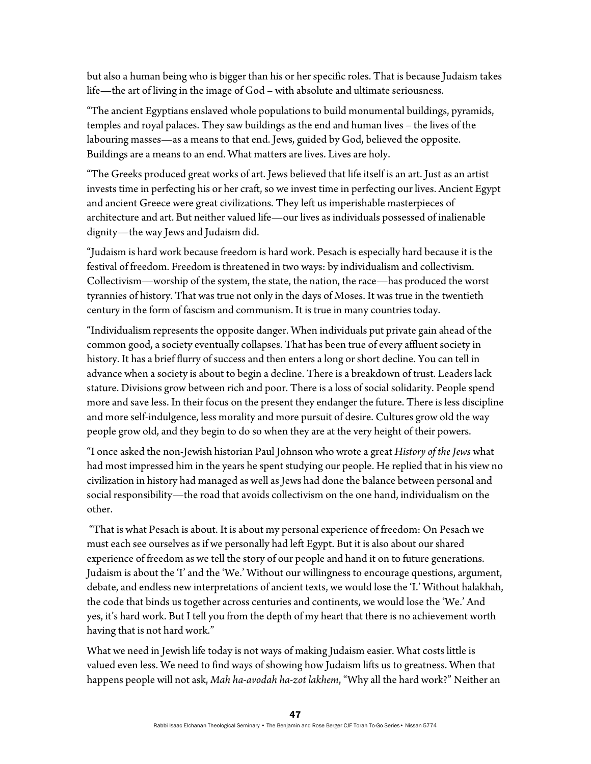but also a human being who is bigger than his or her specific roles. That is because Judaism takes life—the art of living in the image of God – with absolute and ultimate seriousness.

"The ancient Egyptians enslaved whole populations to build monumental buildings, pyramids, temples and royal palaces. They saw buildings as the end and human lives – the lives of the labouring masses—as a means to that end. Jews, guided by God, believed the opposite. Buildings are a means to an end. What matters are lives. Lives are holy.

"The Greeks produced great works of art. Jews believed that life itself is an art. Just as an artist invests time in perfecting his or her craft, so we invest time in perfecting our lives. Ancient Egypt and ancient Greece were great civilizations. They left us imperishable masterpieces of architecture and art. But neither valued life—our lives as individuals possessed of inalienable dignity—the way Jews and Judaism did.

"Judaism is hard work because freedom is hard work. Pesach is especially hard because it is the festival of freedom. Freedom is threatened in two ways: by individualism and collectivism. Collectivism—worship of the system, the state, the nation, the race—has produced the worst tyrannies of history. That was true not only in the days of Moses. It was true in the twentieth century in the form of fascism and communism. It is true in many countries today.

"Individualism represents the opposite danger. When individuals put private gain ahead of the common good, a society eventually collapses. That has been true of every affluent society in history. It has a brief flurry of success and then enters a long or short decline. You can tell in advance when a society is about to begin a decline. There is a breakdown of trust. Leaders lack stature. Divisions grow between rich and poor. There is a loss of social solidarity. People spend more and save less. In their focus on the present they endanger the future. There is less discipline and more self-indulgence, less morality and more pursuit of desire. Cultures grow old the way people grow old, and they begin to do so when they are at the very height of their powers.

"I once asked the non-Jewish historian Paul Johnson who wrote a great *History of the Jews* what had most impressed him in the years he spent studying our people. He replied that in his view no civilization in history had managed as well as Jews had done the balance between personal and social responsibility—the road that avoids collectivism on the one hand, individualism on the other.

 "That is what Pesach is about. It is about my personal experience of freedom: On Pesach we must each see ourselves as if we personally had left Egypt. But it is also about our shared experience of freedom as we tell the story of our people and hand it on to future generations. Judaism is about the 'I' and the 'We.' Without our willingness to encourage questions, argument, debate, and endless new interpretations of ancient texts, we would lose the 'I.' Without halakhah, the code that binds us together across centuries and continents, we would lose the 'We.' And yes, it's hard work. But I tell you from the depth of my heart that there is no achievement worth having that is not hard work."

What we need in Jewish life today is not ways of making Judaism easier. What costs little is valued even less. We need to find ways of showing how Judaism lifts us to greatness. When that happens people will not ask, *Mah ha-avodah ha-zot lakhem*, "Why all the hard work?" Neither an